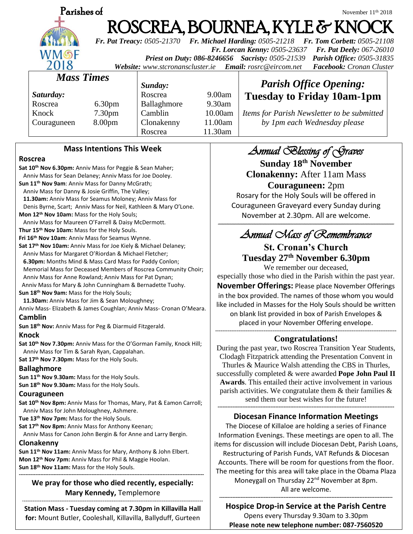

# **Parishes of** November 11<sup>th</sup> 2018 ROSCREA, BOURNEA, KYLE & KNOC

*Fr. Pat Treacy: 0505-21370 Fr. Michael Harding: 0505-21218 Fr. Tom Corbett: 0505-21108 Fr. Lorcan Kenny: 0505-23637 Fr. Pat Deely: 067-26010 Priest on Duty: 086-8246656 Sacristy: 0505-21539 Parish Office: 0505-31835 Website: [www.stcronanscluster.ie](http://www.stcronanscluster.ie/) Email: [rosrc@eircom.net](mailto:rosrc@eircom.net) Facebook: Cronan Cluster* 

*Mass Times*

*Saturday:* Roscrea 6.30pm Knock 7.30pm Couraguneen 8.00pm

*Sunday:*

Roscrea 9.00am Ballaghmore 9.30am Camblin 10.00am Clonakenny 11.00am Roscrea 11.30am

*Items for Parish Newsletter to be submitted by 1pm each Wednesday please*

*Parish Office Opening:* **Tuesday to Friday 10am-1pm**

## **Mass Intentions This Week**

### **Roscrea**

**Sat 10th Nov 6.30pm:** Anniv Mass for Peggie & Sean Maher; Anniv Mass for Sean Delaney; Anniv Mass for Joe Dooley. **Sun 11th Nov 9am**: Anniv Mass for Danny McGrath; Anniv Mass for Danny & Josie Griffin, The Valley; **11.30am:** Anniv Mass for Seamus Moloney; Anniv Mass for Denis Byrne, Scart; Anniv Mass for Neil, Kathleen & Mary O'Lone. **Mon 12th Nov 10am:** Mass for the Holy Souls; Anniv Mass for Maureen O'Farrell & Daisy McDermott. **Thur 15th Nov 10am:** Mass for the Holy Souls. **Fri 16th Nov 10am**: Anniv Mass for Seamus Wynne. **Sat 17th Nov 10am:** Anniv Mass for Joe Kiely & Michael Delaney; Anniv Mass for Margaret O'Riordan & Michael Fletcher; **6.30pm:** Months Mind & Mass Card Mass for Paddy Conlon; Memorial Mass for Deceased Members of Roscrea Community Choir; Anniv Mass for Anne Rowland; Anniv Mass for Pat Dynan; Anniv Mass for Mary & John Cunningham & Bernadette Tuohy. **Sun 18th Nov 9am:** Mass for the Holy Souls;  **11.30am:** Anniv Mass for Jim & Sean Moloughney; Anniv Mass- Elizabeth & James Coughlan; Anniv Mass- Cronan O'Meara. **Camblin Sun 18th Nov:** Anniv Mass for Peg & Diarmuid Fitzgerald. **Knock**

**Sat 10th Nov 7.30pm:** Anniv Mass for the O'Gorman Family, Knock Hill; Anniv Mass for Tim & Sarah Ryan, Cappalahan. **Sat 17th Nov 7.30pm:** Mass for the Holy Souls.

### **Ballaghmore**

**Sun 11th Nov 9.30am:** Mass for the Holy Souls. **Sun 18th Nov 9.30am:** Mass for the Holy Souls.

### **Couraguneen**

**Sat 10th Nov 8pm:** Anniv Mass for Thomas, Mary, Pat & Eamon Carroll; Anniv Mass for John Moloughney, Ashmere.

**Tue 13th Nov 7pm:** Mass for the Holy Souls.

**Sat 17th Nov 8pm:** Anniv Mass for Anthony Keenan;

Anniv Mass for Canon John Bergin & for Anne and Larry Bergin.

### **Clonakenny**

**Sun 11th Nov 11am:** Anniv Mass for Mary, Anthony & John Elbert. **Mon 12th Nov 7pm:** Anniv Mass for Phil & Maggie Hoolan. **Sun 18th Nov 11am:** Mass for the Holy Souls.

#### **We pray for those who died recently, especially: Mary Kennedy,** Templemore -----------------------------------------------------------------------------------------------------

**----------------------------------------------------------------------------------------------------------------**

**Station Mass - Tuesday coming at 7.30pm in Killavilla Hall for:** Mount Butler, Cooleshall, Killavilla, Ballyduff, Gurteen

# *Annual Blessing of Graves*

**Sunday 18th November Clonakenny:** After 11am Mass

**Couraguneen:** 2pm Rosary for the Holy Souls will be offered in Couraguneen Graveyard every Sunday during November at 2.30pm. All are welcome.

## *---------------------------------------------------------------------------------------------------------------------------------------------------------------------------------------------------------------------- Annual Mass of Remembrance*

### **St. Cronan's Church Tuesday 27 th November 6.30pm** We remember our deceased,

especially those who died in the Parish within the past year. **November Offerings:** Please place November Offerings in the box provided. The names of those whom you would like included in Masses for the Holy Souls should be written on blank list provided in box of Parish Envelopes & placed in your November Offering envelope.

**-----------------------------------------------------------------------------------------------------**

# **Congratulations!**

During the past year, two Roscrea Transition Year Students, Clodagh Fitzpatrick attending the Presentation Convent in Thurles & Maurice Walsh attending the CBS in Thurles, successfully completed & were awarded **Pope John Paul II Awards**. This entailed their active involvement in various parish activities. We congratulate them  $\&$  their families  $\&$ send them our best wishes for the future! **-----------------------------------------------------------------------------------------------------------**

# **Diocesan Finance Information Meetings**

The Diocese of Killaloe are holding a series of Finance Information Evenings. These meetings are open to all. The items for discussion will include Diocesan Debt, Parish Loans, Restructuring of Parish Funds, VAT Refunds & Diocesan Accounts. There will be room for questions from the floor. The meeting for this area will take place in the Obama Plaza Moneygall on Thursday 22<sup>nd</sup> November at 8pm.

All are welcome.

#### **--------------------------------------------------------------------------------------------------------- Hospice Drop-in Service at the Parish Centre**

Opens every Thursday 9.30am to 3.30pm **Please note new telephone number: 087-7560520**